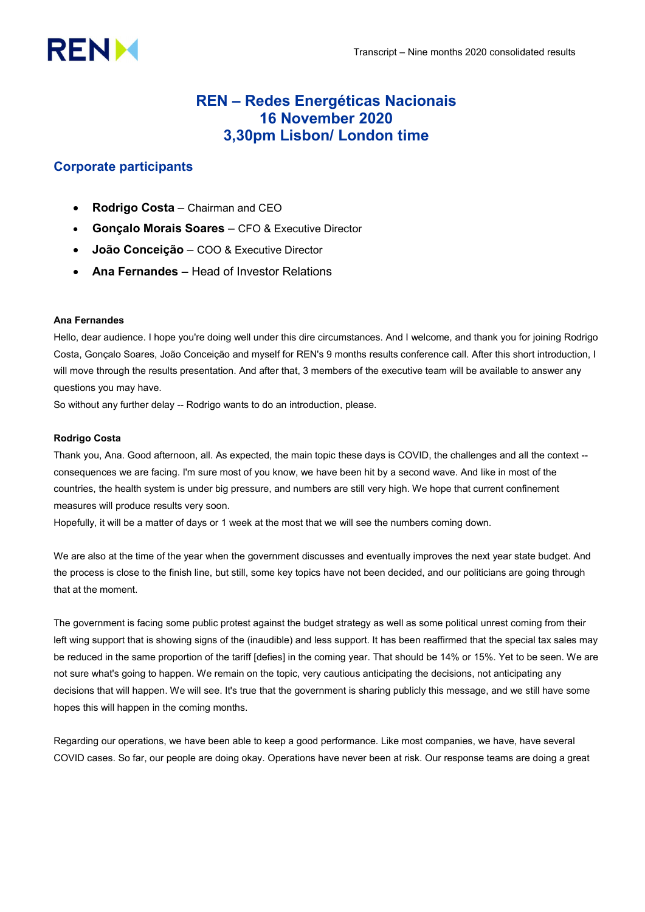# **RENM**

# REN – Redes Energéticas Nacionais 16 November 2020 3,30pm Lisbon/ London time

# Corporate participants

- Rodrigo Costa Chairman and CEO
- Gonçalo Morais Soares CFO & Executive Director
- João Conceição COO & Executive Director
- Ana Fernandes Head of Investor Relations

# Ana Fernandes

Hello, dear audience. I hope you're doing well under this dire circumstances. And I welcome, and thank you for joining Rodrigo Costa, Gonçalo Soares, João Conceição and myself for REN's 9 months results conference call. After this short introduction, I will move through the results presentation. And after that, 3 members of the executive team will be available to answer any questions you may have.

So without any further delay -- Rodrigo wants to do an introduction, please.

# Rodrigo Costa

Thank you, Ana. Good afternoon, all. As expected, the main topic these days is COVID, the challenges and all the context - consequences we are facing. I'm sure most of you know, we have been hit by a second wave. And like in most of the countries, the health system is under big pressure, and numbers are still very high. We hope that current confinement measures will produce results very soon.

Hopefully, it will be a matter of days or 1 week at the most that we will see the numbers coming down.

We are also at the time of the year when the government discusses and eventually improves the next year state budget. And the process is close to the finish line, but still, some key topics have not been decided, and our politicians are going through that at the moment.

The government is facing some public protest against the budget strategy as well as some political unrest coming from their left wing support that is showing signs of the (inaudible) and less support. It has been reaffirmed that the special tax sales may be reduced in the same proportion of the tariff [defies] in the coming year. That should be 14% or 15%. Yet to be seen. We are not sure what's going to happen. We remain on the topic, very cautious anticipating the decisions, not anticipating any decisions that will happen. We will see. It's true that the government is sharing publicly this message, and we still have some hopes this will happen in the coming months.

Regarding our operations, we have been able to keep a good performance. Like most companies, we have, have several COVID cases. So far, our people are doing okay. Operations have never been at risk. Our response teams are doing a great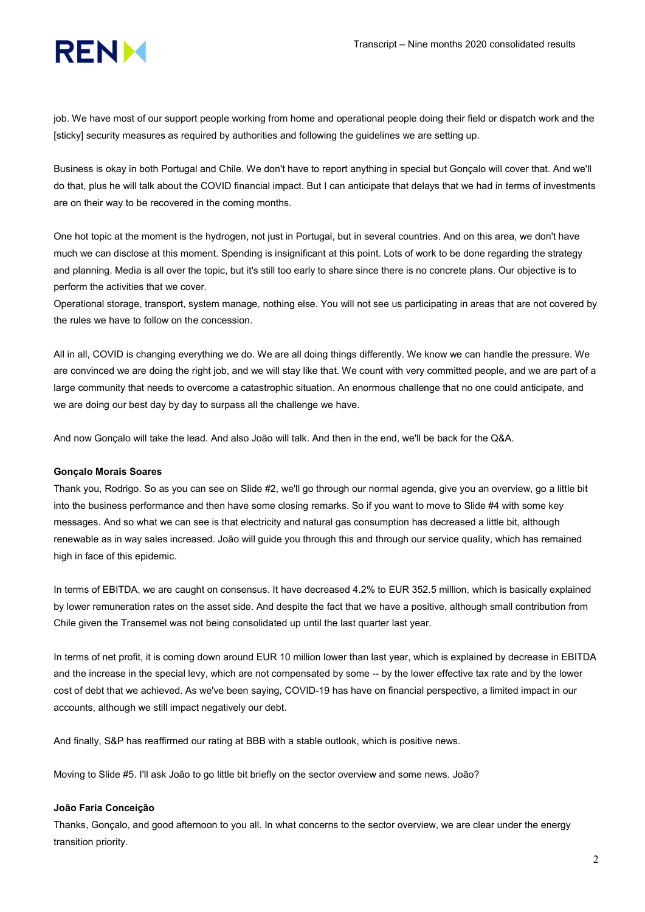

job. We have most of our support people working from home and operational people doing their field or dispatch work and the [sticky] security measures as required by authorities and following the guidelines we are setting up.

Business is okay in both Portugal and Chile. We don't have to report anything in special but Gonçalo will cover that. And we'll do that, plus he will talk about the COVID financial impact. But I can anticipate that delays that we had in terms of investments are on their way to be recovered in the coming months.

One hot topic at the moment is the hydrogen, not just in Portugal, but in several countries. And on this area, we don't have much we can disclose at this moment. Spending is insignificant at this point. Lots of work to be done regarding the strategy and planning. Media is all over the topic, but it's still too early to share since there is no concrete plans. Our objective is to perform the activities that we cover.

Operational storage, transport, system manage, nothing else. You will not see us participating in areas that are not covered by the rules we have to follow on the concession.

All in all, COVID is changing everything we do. We are all doing things differently. We know we can handle the pressure. We are convinced we are doing the right job, and we will stay like that. We count with very committed people, and we are part of a large community that needs to overcome a catastrophic situation. An enormous challenge that no one could anticipate, and we are doing our best day by day to surpass all the challenge we have.

And now Gonçalo will take the lead. And also João will talk. And then in the end, we'll be back for the Q&A.

#### Gonçalo Morais Soares

Thank you, Rodrigo. So as you can see on Slide #2, we'll go through our normal agenda, give you an overview, go a little bit into the business performance and then have some closing remarks. So if you want to move to Slide #4 with some key messages. And so what we can see is that electricity and natural gas consumption has decreased a little bit, although renewable as in way sales increased. João will guide you through this and through our service quality, which has remained high in face of this epidemic.

In terms of EBITDA, we are caught on consensus. It have decreased 4.2% to EUR 352.5 million, which is basically explained by lower remuneration rates on the asset side. And despite the fact that we have a positive, although small contribution from Chile given the Transemel was not being consolidated up until the last quarter last year.

In terms of net profit, it is coming down around EUR 10 million lower than last year, which is explained by decrease in EBITDA and the increase in the special levy, which are not compensated by some -- by the lower effective tax rate and by the lower cost of debt that we achieved. As we've been saying, COVID-19 has have on financial perspective, a limited impact in our accounts, although we still impact negatively our debt.

And finally, S&P has reaffirmed our rating at BBB with a stable outlook, which is positive news.

Moving to Slide #5. I'll ask João to go little bit briefly on the sector overview and some news. João?

# João Faria Conceição

Thanks, Gonçalo, and good afternoon to you all. In what concerns to the sector overview, we are clear under the energy transition priority.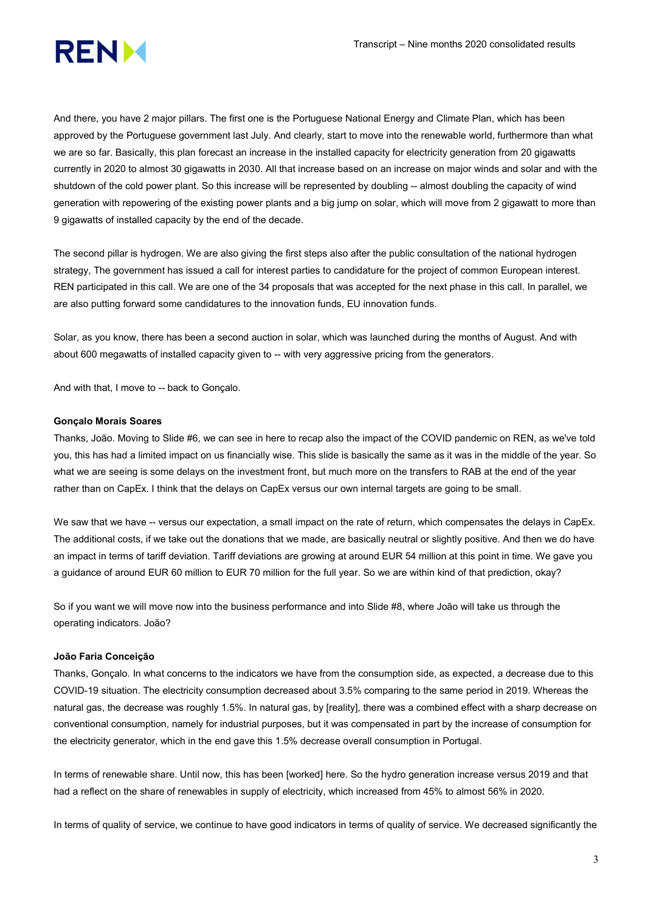

And there, you have 2 major pillars. The first one is the Portuguese National Energy and Climate Plan, which has been approved by the Portuguese government last July. And clearly, start to move into the renewable world, furthermore than what we are so far. Basically, this plan forecast an increase in the installed capacity for electricity generation from 20 gigawatts currently in 2020 to almost 30 gigawatts in 2030. All that increase based on an increase on major winds and solar and with the shutdown of the cold power plant. So this increase will be represented by doubling -- almost doubling the capacity of wind generation with repowering of the existing power plants and a big jump on solar, which will move from 2 gigawatt to more than 9 gigawatts of installed capacity by the end of the decade.

The second pillar is hydrogen. We are also giving the first steps also after the public consultation of the national hydrogen strategy, The government has issued a call for interest parties to candidature for the project of common European interest. REN participated in this call. We are one of the 34 proposals that was accepted for the next phase in this call. In parallel, we are also putting forward some candidatures to the innovation funds, EU innovation funds.

Solar, as you know, there has been a second auction in solar, which was launched during the months of August. And with about 600 megawatts of installed capacity given to -- with very aggressive pricing from the generators.

And with that, I move to -- back to Gonçalo.

## Gonçalo Morais Soares

Thanks, João. Moving to Slide #6, we can see in here to recap also the impact of the COVID pandemic on REN, as we've told you, this has had a limited impact on us financially wise. This slide is basically the same as it was in the middle of the year. So what we are seeing is some delays on the investment front, but much more on the transfers to RAB at the end of the year rather than on CapEx. I think that the delays on CapEx versus our own internal targets are going to be small.

We saw that we have -- versus our expectation, a small impact on the rate of return, which compensates the delays in CapEx. The additional costs, if we take out the donations that we made, are basically neutral or slightly positive. And then we do have an impact in terms of tariff deviation. Tariff deviations are growing at around EUR 54 million at this point in time. We gave you a guidance of around EUR 60 million to EUR 70 million for the full year. So we are within kind of that prediction, okay?

So if you want we will move now into the business performance and into Slide #8, where João will take us through the operating indicators. João?

## João Faria Conceição

Thanks, Gonçalo. In what concerns to the indicators we have from the consumption side, as expected, a decrease due to this COVID-19 situation. The electricity consumption decreased about 3.5% comparing to the same period in 2019. Whereas the natural gas, the decrease was roughly 1.5%. In natural gas, by [reality], there was a combined effect with a sharp decrease on conventional consumption, namely for industrial purposes, but it was compensated in part by the increase of consumption for the electricity generator, which in the end gave this 1.5% decrease overall consumption in Portugal.

In terms of renewable share. Until now, this has been [worked] here. So the hydro generation increase versus 2019 and that had a reflect on the share of renewables in supply of electricity, which increased from 45% to almost 56% in 2020.

In terms of quality of service, we continue to have good indicators in terms of quality of service. We decreased significantly the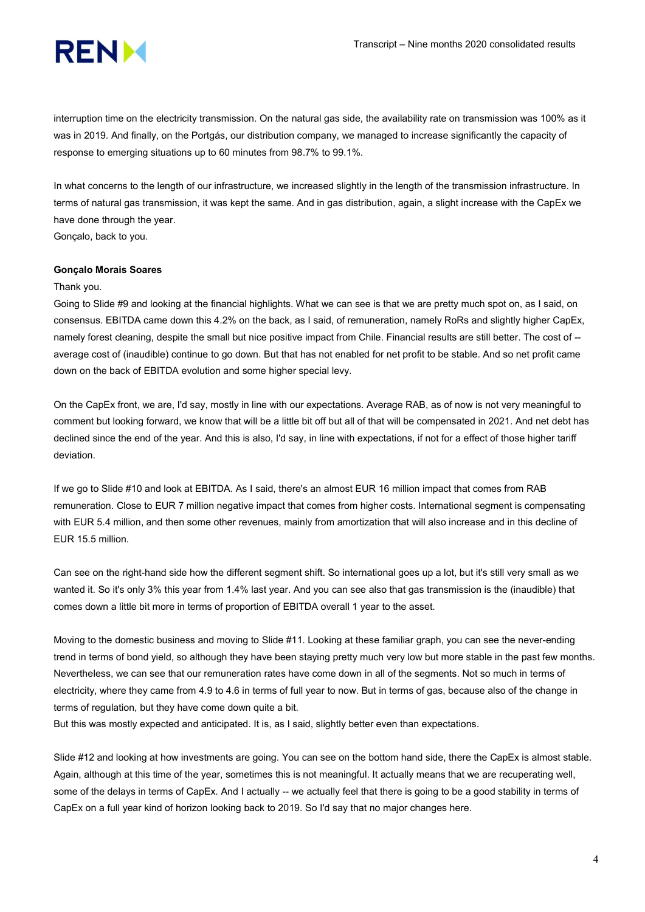

interruption time on the electricity transmission. On the natural gas side, the availability rate on transmission was 100% as it was in 2019. And finally, on the Portgás, our distribution company, we managed to increase significantly the capacity of response to emerging situations up to 60 minutes from 98.7% to 99.1%.

In what concerns to the length of our infrastructure, we increased slightly in the length of the transmission infrastructure. In terms of natural gas transmission, it was kept the same. And in gas distribution, again, a slight increase with the CapEx we have done through the year.

Gonçalo, back to you.

## Gonçalo Morais Soares

#### Thank you.

Going to Slide #9 and looking at the financial highlights. What we can see is that we are pretty much spot on, as I said, on consensus. EBITDA came down this 4.2% on the back, as I said, of remuneration, namely RoRs and slightly higher CapEx, namely forest cleaning, despite the small but nice positive impact from Chile. Financial results are still better. The cost of -average cost of (inaudible) continue to go down. But that has not enabled for net profit to be stable. And so net profit came down on the back of EBITDA evolution and some higher special levy.

On the CapEx front, we are, I'd say, mostly in line with our expectations. Average RAB, as of now is not very meaningful to comment but looking forward, we know that will be a little bit off but all of that will be compensated in 2021. And net debt has declined since the end of the year. And this is also, I'd say, in line with expectations, if not for a effect of those higher tariff deviation.

If we go to Slide #10 and look at EBITDA. As I said, there's an almost EUR 16 million impact that comes from RAB remuneration. Close to EUR 7 million negative impact that comes from higher costs. International segment is compensating with EUR 5.4 million, and then some other revenues, mainly from amortization that will also increase and in this decline of EUR 15.5 million.

Can see on the right-hand side how the different segment shift. So international goes up a lot, but it's still very small as we wanted it. So it's only 3% this year from 1.4% last year. And you can see also that gas transmission is the (inaudible) that comes down a little bit more in terms of proportion of EBITDA overall 1 year to the asset.

Moving to the domestic business and moving to Slide #11. Looking at these familiar graph, you can see the never-ending trend in terms of bond yield, so although they have been staying pretty much very low but more stable in the past few months. Nevertheless, we can see that our remuneration rates have come down in all of the segments. Not so much in terms of electricity, where they came from 4.9 to 4.6 in terms of full year to now. But in terms of gas, because also of the change in terms of regulation, but they have come down quite a bit.

But this was mostly expected and anticipated. It is, as I said, slightly better even than expectations.

Slide #12 and looking at how investments are going. You can see on the bottom hand side, there the CapEx is almost stable. Again, although at this time of the year, sometimes this is not meaningful. It actually means that we are recuperating well, some of the delays in terms of CapEx. And I actually -- we actually feel that there is going to be a good stability in terms of CapEx on a full year kind of horizon looking back to 2019. So I'd say that no major changes here.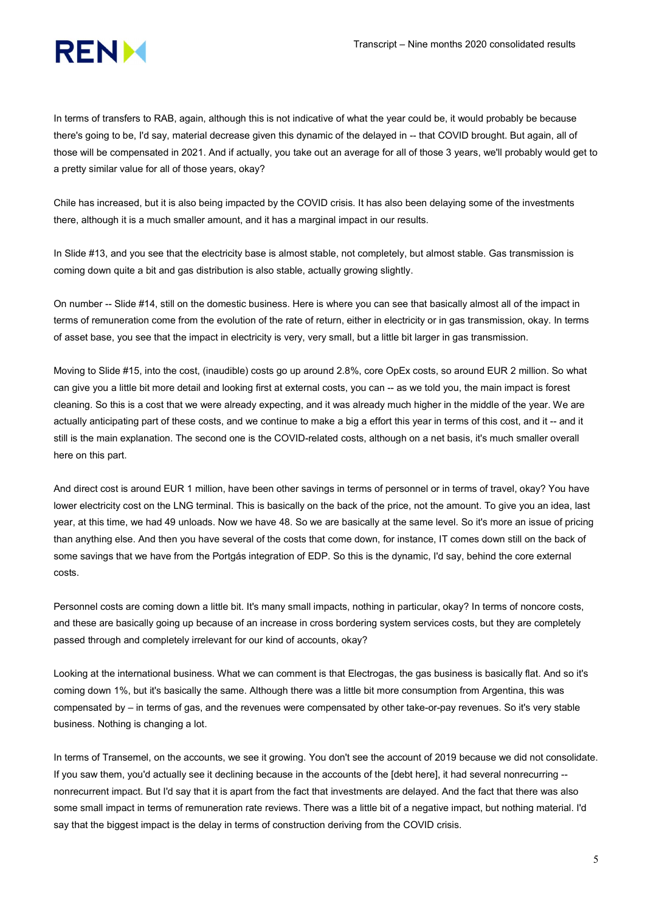In terms of transfers to RAB, again, although this is not indicative of what the year could be, it would probably be because there's going to be, I'd say, material decrease given this dynamic of the delayed in -- that COVID brought. But again, all of those will be compensated in 2021. And if actually, you take out an average for all of those 3 years, we'll probably would get to a pretty similar value for all of those years, okay?

Chile has increased, but it is also being impacted by the COVID crisis. It has also been delaying some of the investments there, although it is a much smaller amount, and it has a marginal impact in our results.

In Slide #13, and you see that the electricity base is almost stable, not completely, but almost stable. Gas transmission is coming down quite a bit and gas distribution is also stable, actually growing slightly.

On number -- Slide #14, still on the domestic business. Here is where you can see that basically almost all of the impact in terms of remuneration come from the evolution of the rate of return, either in electricity or in gas transmission, okay. In terms of asset base, you see that the impact in electricity is very, very small, but a little bit larger in gas transmission.

Moving to Slide #15, into the cost, (inaudible) costs go up around 2.8%, core OpEx costs, so around EUR 2 million. So what can give you a little bit more detail and looking first at external costs, you can -- as we told you, the main impact is forest cleaning. So this is a cost that we were already expecting, and it was already much higher in the middle of the year. We are actually anticipating part of these costs, and we continue to make a big a effort this year in terms of this cost, and it -- and it still is the main explanation. The second one is the COVID-related costs, although on a net basis, it's much smaller overall here on this part.

And direct cost is around EUR 1 million, have been other savings in terms of personnel or in terms of travel, okay? You have lower electricity cost on the LNG terminal. This is basically on the back of the price, not the amount. To give you an idea, last year, at this time, we had 49 unloads. Now we have 48. So we are basically at the same level. So it's more an issue of pricing than anything else. And then you have several of the costs that come down, for instance, IT comes down still on the back of some savings that we have from the Portgás integration of EDP. So this is the dynamic, I'd say, behind the core external costs.

Personnel costs are coming down a little bit. It's many small impacts, nothing in particular, okay? In terms of noncore costs, and these are basically going up because of an increase in cross bordering system services costs, but they are completely passed through and completely irrelevant for our kind of accounts, okay?

Looking at the international business. What we can comment is that Electrogas, the gas business is basically flat. And so it's coming down 1%, but it's basically the same. Although there was a little bit more consumption from Argentina, this was compensated by – in terms of gas, and the revenues were compensated by other take-or-pay revenues. So it's very stable business. Nothing is changing a lot.

In terms of Transemel, on the accounts, we see it growing. You don't see the account of 2019 because we did not consolidate. If you saw them, you'd actually see it declining because in the accounts of the [debt here], it had several nonrecurring - nonrecurrent impact. But I'd say that it is apart from the fact that investments are delayed. And the fact that there was also some small impact in terms of remuneration rate reviews. There was a little bit of a negative impact, but nothing material. I'd say that the biggest impact is the delay in terms of construction deriving from the COVID crisis.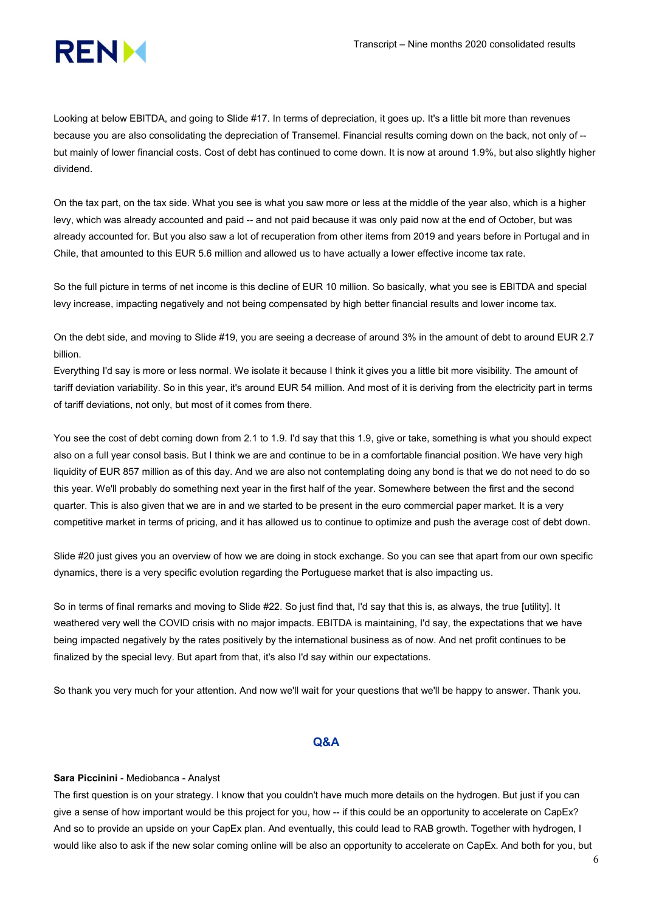

Looking at below EBITDA, and going to Slide #17. In terms of depreciation, it goes up. It's a little bit more than revenues because you are also consolidating the depreciation of Transemel. Financial results coming down on the back, not only of - but mainly of lower financial costs. Cost of debt has continued to come down. It is now at around 1.9%, but also slightly higher dividend.

On the tax part, on the tax side. What you see is what you saw more or less at the middle of the year also, which is a higher levy, which was already accounted and paid -- and not paid because it was only paid now at the end of October, but was already accounted for. But you also saw a lot of recuperation from other items from 2019 and years before in Portugal and in Chile, that amounted to this EUR 5.6 million and allowed us to have actually a lower effective income tax rate.

So the full picture in terms of net income is this decline of EUR 10 million. So basically, what you see is EBITDA and special levy increase, impacting negatively and not being compensated by high better financial results and lower income tax.

On the debt side, and moving to Slide #19, you are seeing a decrease of around 3% in the amount of debt to around EUR 2.7 billion.

Everything I'd say is more or less normal. We isolate it because I think it gives you a little bit more visibility. The amount of tariff deviation variability. So in this year, it's around EUR 54 million. And most of it is deriving from the electricity part in terms of tariff deviations, not only, but most of it comes from there.

You see the cost of debt coming down from 2.1 to 1.9. I'd say that this 1.9, give or take, something is what you should expect also on a full year consol basis. But I think we are and continue to be in a comfortable financial position. We have very high liquidity of EUR 857 million as of this day. And we are also not contemplating doing any bond is that we do not need to do so this year. We'll probably do something next year in the first half of the year. Somewhere between the first and the second quarter. This is also given that we are in and we started to be present in the euro commercial paper market. It is a very competitive market in terms of pricing, and it has allowed us to continue to optimize and push the average cost of debt down.

Slide #20 just gives you an overview of how we are doing in stock exchange. So you can see that apart from our own specific dynamics, there is a very specific evolution regarding the Portuguese market that is also impacting us.

So in terms of final remarks and moving to Slide #22. So just find that, I'd say that this is, as always, the true [utility]. It weathered very well the COVID crisis with no major impacts. EBITDA is maintaining, I'd say, the expectations that we have being impacted negatively by the rates positively by the international business as of now. And net profit continues to be finalized by the special levy. But apart from that, it's also I'd say within our expectations.

So thank you very much for your attention. And now we'll wait for your questions that we'll be happy to answer. Thank you.

# Q&A

# Sara Piccinini - Mediobanca - Analyst

The first question is on your strategy. I know that you couldn't have much more details on the hydrogen. But just if you can give a sense of how important would be this project for you, how -- if this could be an opportunity to accelerate on CapEx? And so to provide an upside on your CapEx plan. And eventually, this could lead to RAB growth. Together with hydrogen, I would like also to ask if the new solar coming online will be also an opportunity to accelerate on CapEx. And both for you, but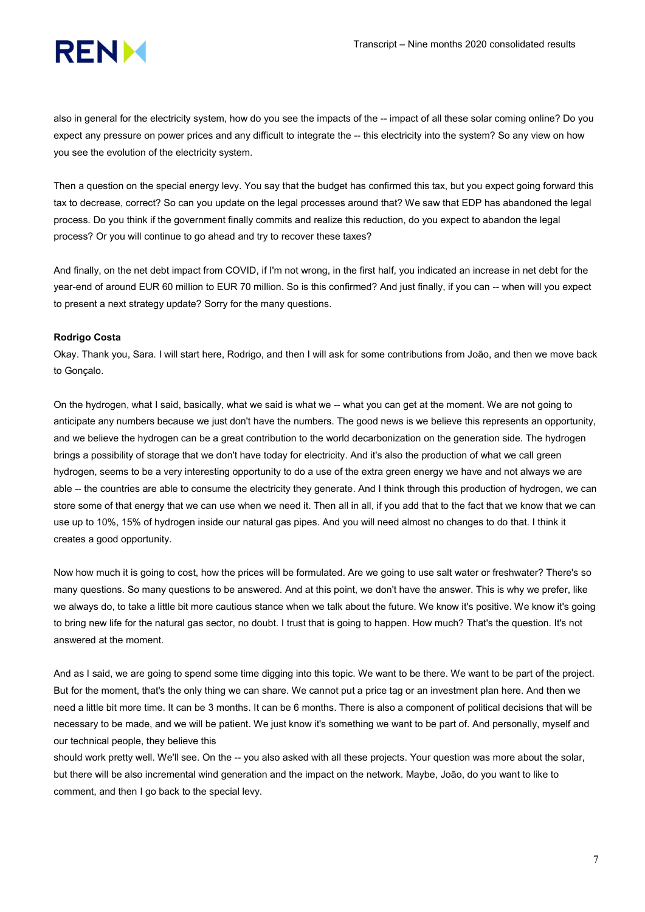

also in general for the electricity system, how do you see the impacts of the -- impact of all these solar coming online? Do you expect any pressure on power prices and any difficult to integrate the -- this electricity into the system? So any view on how you see the evolution of the electricity system.

Then a question on the special energy levy. You say that the budget has confirmed this tax, but you expect going forward this tax to decrease, correct? So can you update on the legal processes around that? We saw that EDP has abandoned the legal process. Do you think if the government finally commits and realize this reduction, do you expect to abandon the legal process? Or you will continue to go ahead and try to recover these taxes?

And finally, on the net debt impact from COVID, if I'm not wrong, in the first half, you indicated an increase in net debt for the year-end of around EUR 60 million to EUR 70 million. So is this confirmed? And just finally, if you can -- when will you expect to present a next strategy update? Sorry for the many questions.

# Rodrigo Costa

Okay. Thank you, Sara. I will start here, Rodrigo, and then I will ask for some contributions from João, and then we move back to Gonçalo.

On the hydrogen, what I said, basically, what we said is what we -- what you can get at the moment. We are not going to anticipate any numbers because we just don't have the numbers. The good news is we believe this represents an opportunity, and we believe the hydrogen can be a great contribution to the world decarbonization on the generation side. The hydrogen brings a possibility of storage that we don't have today for electricity. And it's also the production of what we call green hydrogen, seems to be a very interesting opportunity to do a use of the extra green energy we have and not always we are able -- the countries are able to consume the electricity they generate. And I think through this production of hydrogen, we can store some of that energy that we can use when we need it. Then all in all, if you add that to the fact that we know that we can use up to 10%, 15% of hydrogen inside our natural gas pipes. And you will need almost no changes to do that. I think it creates a good opportunity.

Now how much it is going to cost, how the prices will be formulated. Are we going to use salt water or freshwater? There's so many questions. So many questions to be answered. And at this point, we don't have the answer. This is why we prefer, like we always do, to take a little bit more cautious stance when we talk about the future. We know it's positive. We know it's going to bring new life for the natural gas sector, no doubt. I trust that is going to happen. How much? That's the question. It's not answered at the moment.

And as I said, we are going to spend some time digging into this topic. We want to be there. We want to be part of the project. But for the moment, that's the only thing we can share. We cannot put a price tag or an investment plan here. And then we need a little bit more time. It can be 3 months. It can be 6 months. There is also a component of political decisions that will be necessary to be made, and we will be patient. We just know it's something we want to be part of. And personally, myself and our technical people, they believe this

should work pretty well. We'll see. On the -- you also asked with all these projects. Your question was more about the solar, but there will be also incremental wind generation and the impact on the network. Maybe, João, do you want to like to comment, and then I go back to the special levy.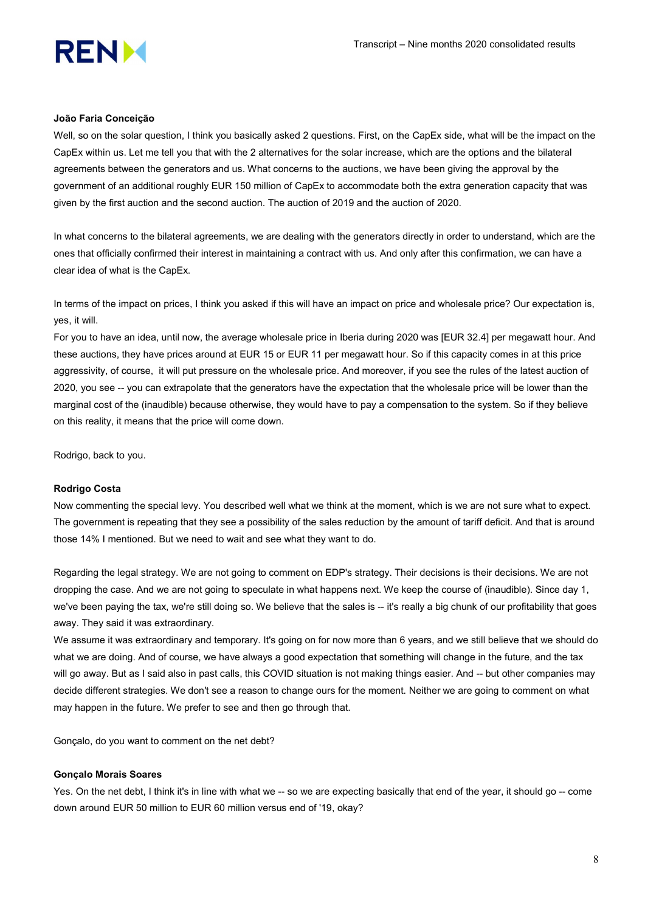## João Faria Conceição

Well, so on the solar question, I think you basically asked 2 questions. First, on the CapEx side, what will be the impact on the CapEx within us. Let me tell you that with the 2 alternatives for the solar increase, which are the options and the bilateral agreements between the generators and us. What concerns to the auctions, we have been giving the approval by the government of an additional roughly EUR 150 million of CapEx to accommodate both the extra generation capacity that was given by the first auction and the second auction. The auction of 2019 and the auction of 2020.

In what concerns to the bilateral agreements, we are dealing with the generators directly in order to understand, which are the ones that officially confirmed their interest in maintaining a contract with us. And only after this confirmation, we can have a clear idea of what is the CapEx.

In terms of the impact on prices, I think you asked if this will have an impact on price and wholesale price? Our expectation is, yes, it will.

For you to have an idea, until now, the average wholesale price in Iberia during 2020 was [EUR 32.4] per megawatt hour. And these auctions, they have prices around at EUR 15 or EUR 11 per megawatt hour. So if this capacity comes in at this price aggressivity, of course, it will put pressure on the wholesale price. And moreover, if you see the rules of the latest auction of 2020, you see -- you can extrapolate that the generators have the expectation that the wholesale price will be lower than the marginal cost of the (inaudible) because otherwise, they would have to pay a compensation to the system. So if they believe on this reality, it means that the price will come down.

Rodrigo, back to you.

# Rodrigo Costa

Now commenting the special levy. You described well what we think at the moment, which is we are not sure what to expect. The government is repeating that they see a possibility of the sales reduction by the amount of tariff deficit. And that is around those 14% I mentioned. But we need to wait and see what they want to do.

Regarding the legal strategy. We are not going to comment on EDP's strategy. Their decisions is their decisions. We are not dropping the case. And we are not going to speculate in what happens next. We keep the course of (inaudible). Since day 1, we've been paying the tax, we're still doing so. We believe that the sales is -- it's really a big chunk of our profitability that goes away. They said it was extraordinary.

We assume it was extraordinary and temporary. It's going on for now more than 6 years, and we still believe that we should do what we are doing. And of course, we have always a good expectation that something will change in the future, and the tax will go away. But as I said also in past calls, this COVID situation is not making things easier. And -- but other companies may decide different strategies. We don't see a reason to change ours for the moment. Neither we are going to comment on what may happen in the future. We prefer to see and then go through that.

Gonçalo, do you want to comment on the net debt?

#### Gonçalo Morais Soares

Yes. On the net debt, I think it's in line with what we -- so we are expecting basically that end of the year, it should go -- come down around EUR 50 million to EUR 60 million versus end of '19, okay?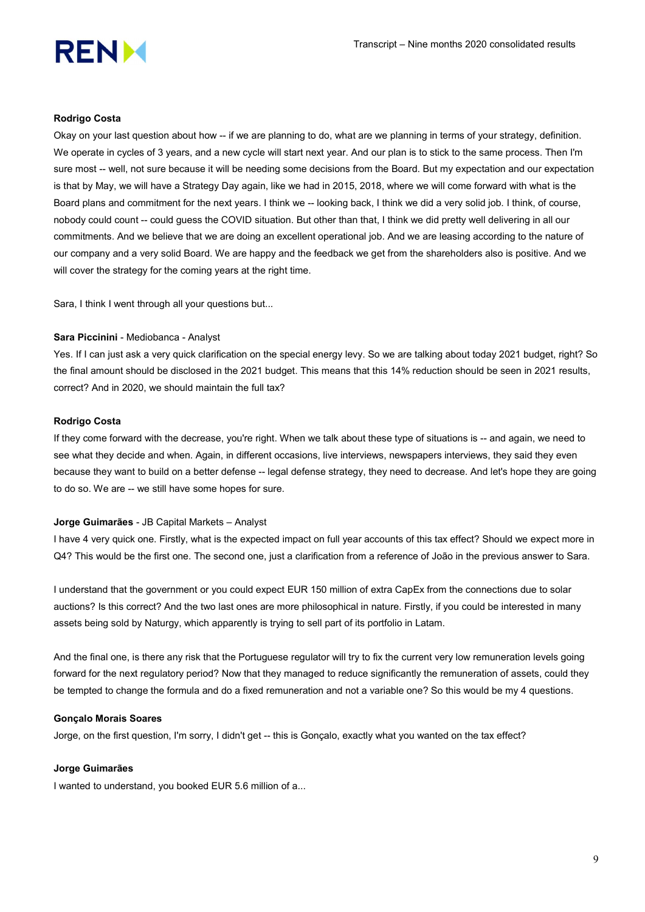

#### Rodrigo Costa

Okay on your last question about how -- if we are planning to do, what are we planning in terms of your strategy, definition. We operate in cycles of 3 years, and a new cycle will start next year. And our plan is to stick to the same process. Then I'm sure most -- well, not sure because it will be needing some decisions from the Board. But my expectation and our expectation is that by May, we will have a Strategy Day again, like we had in 2015, 2018, where we will come forward with what is the Board plans and commitment for the next years. I think we -- looking back, I think we did a very solid job. I think, of course, nobody could count -- could guess the COVID situation. But other than that, I think we did pretty well delivering in all our commitments. And we believe that we are doing an excellent operational job. And we are leasing according to the nature of our company and a very solid Board. We are happy and the feedback we get from the shareholders also is positive. And we will cover the strategy for the coming years at the right time.

Sara, I think I went through all your questions but...

## Sara Piccinini - Mediobanca - Analyst

Yes. If I can just ask a very quick clarification on the special energy levy. So we are talking about today 2021 budget, right? So the final amount should be disclosed in the 2021 budget. This means that this 14% reduction should be seen in 2021 results, correct? And in 2020, we should maintain the full tax?

## Rodrigo Costa

If they come forward with the decrease, you're right. When we talk about these type of situations is -- and again, we need to see what they decide and when. Again, in different occasions, live interviews, newspapers interviews, they said they even because they want to build on a better defense -- legal defense strategy, they need to decrease. And let's hope they are going to do so. We are -- we still have some hopes for sure.

#### Jorge Guimarães - JB Capital Markets – Analyst

I have 4 very quick one. Firstly, what is the expected impact on full year accounts of this tax effect? Should we expect more in Q4? This would be the first one. The second one, just a clarification from a reference of João in the previous answer to Sara.

I understand that the government or you could expect EUR 150 million of extra CapEx from the connections due to solar auctions? Is this correct? And the two last ones are more philosophical in nature. Firstly, if you could be interested in many assets being sold by Naturgy, which apparently is trying to sell part of its portfolio in Latam.

And the final one, is there any risk that the Portuguese regulator will try to fix the current very low remuneration levels going forward for the next regulatory period? Now that they managed to reduce significantly the remuneration of assets, could they be tempted to change the formula and do a fixed remuneration and not a variable one? So this would be my 4 questions.

## Gonçalo Morais Soares

Jorge, on the first question, I'm sorry, I didn't get -- this is Gonçalo, exactly what you wanted on the tax effect?

#### Jorge Guimarães

I wanted to understand, you booked EUR 5.6 million of a...